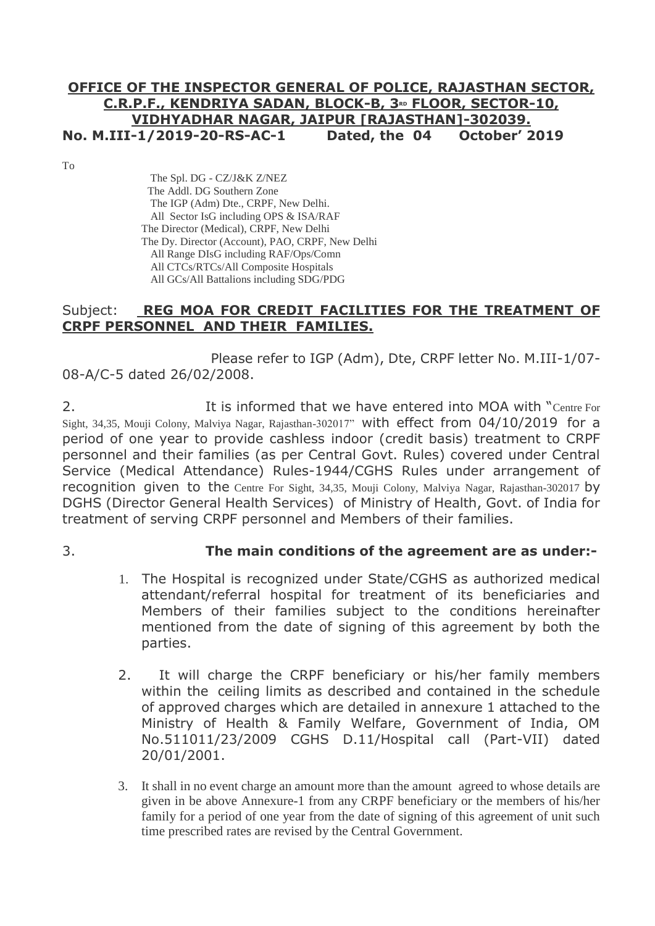# **OFFICE OF THE INSPECTOR GENERAL OF POLICE, RAJASTHAN SECTOR, C.R.P.F., KENDRIYA SADAN, BLOCK-B, 3RD FLOOR, SECTOR-10, VIDHYADHAR NAGAR, JAIPUR [RAJASTHAN]-302039. No. M.III-1/2019-20-RS-AC-1 Dated, the 04 October' 2019**

To

 The Spl. DG - CZ/J&K Z/NEZ The Addl. DG Southern Zone The IGP (Adm) Dte., CRPF, New Delhi. All Sector IsG including OPS & ISA/RAF The Director (Medical), CRPF, New Delhi The Dy. Director (Account), PAO, CRPF, New Delhi All Range DIsG including RAF/Ops/Comn All CTCs/RTCs/All Composite Hospitals All GCs/All Battalions including SDG/PDG

## Subject: **REG MOA FOR CREDIT FACILITIES FOR THE TREATMENT OF CRPF PERSONNEL AND THEIR FAMILIES.**

 Please refer to IGP (Adm), Dte, CRPF letter No. M.III-1/07- 08-A/C-5 dated 26/02/2008.

2. It is informed that we have entered into MOA with "Centre For Sight, 34,35, Mouji Colony, Malviya Nagar, Rajasthan-302017" with effect from 04/10/2019 for a period of one year to provide cashless indoor (credit basis) treatment to CRPF personnel and their families (as per Central Govt. Rules) covered under Central Service (Medical Attendance) Rules-1944/CGHS Rules under arrangement of recognition given to the Centre For Sight, 34,35, Mouji Colony, Malviya Nagar, Rajasthan-302017 by DGHS (Director General Health Services) of Ministry of Health, Govt. of India for treatment of serving CRPF personnel and Members of their families.

# 3. **The main conditions of the agreement are as under:-**

- 1. The Hospital is recognized under State/CGHS as authorized medical attendant/referral hospital for treatment of its beneficiaries and Members of their families subject to the conditions hereinafter mentioned from the date of signing of this agreement by both the parties.
- 2. It will charge the CRPF beneficiary or his/her family members within the ceiling limits as described and contained in the schedule of approved charges which are detailed in annexure 1 attached to the Ministry of Health & Family Welfare, Government of India, OM No.511011/23/2009 CGHS D.11/Hospital call (Part-VII) dated 20/01/2001.
- 3. It shall in no event charge an amount more than the amount agreed to whose details are given in be above Annexure-1 from any CRPF beneficiary or the members of his/her family for a period of one year from the date of signing of this agreement of unit such time prescribed rates are revised by the Central Government.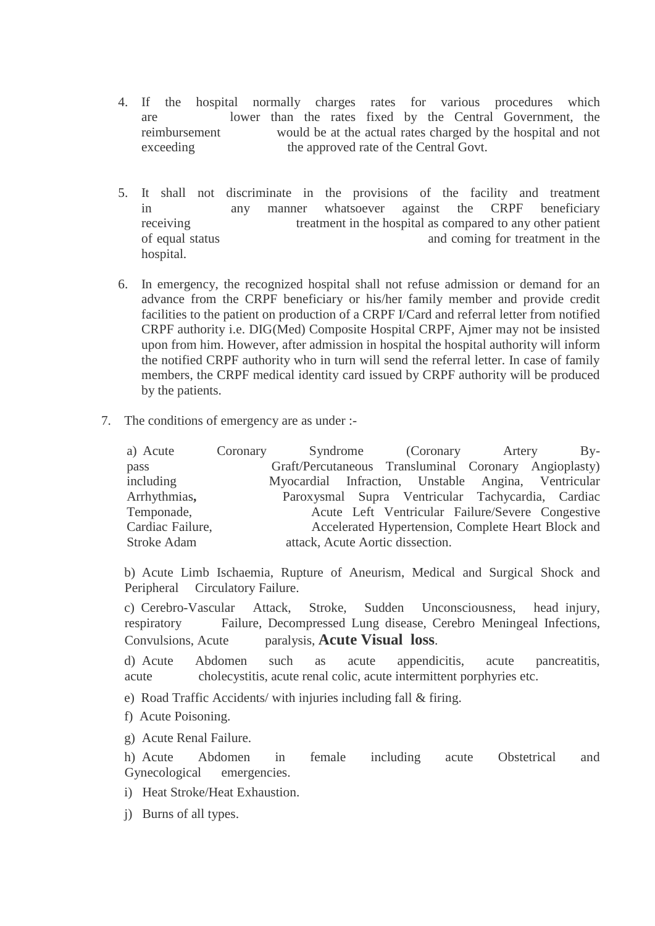- 4. If the hospital normally charges rates for various procedures which are lower than the rates fixed by the Central Government, the reimbursement would be at the actual rates charged by the hospital and not exceeding the approved rate of the Central Govt.
- 5. It shall not discriminate in the provisions of the facility and treatment in any manner whatsoever against the CRPF beneficiary receiving treatment in the hospital as compared to any other patient of equal status and coming for treatment in the hospital.
- 6. In emergency, the recognized hospital shall not refuse admission or demand for an advance from the CRPF beneficiary or his/her family member and provide credit facilities to the patient on production of a CRPF I/Card and referral letter from notified CRPF authority i.e. DIG(Med) Composite Hospital CRPF, Ajmer may not be insisted upon from him. However, after admission in hospital the hospital authority will inform the notified CRPF authority who in turn will send the referral letter. In case of family members, the CRPF medical identity card issued by CRPF authority will be produced by the patients.
- 7. The conditions of emergency are as under :-

| a) Acute         | Coronary |                                                       | Syndrome (Coronary Artery                          | $Bv-$ |  |
|------------------|----------|-------------------------------------------------------|----------------------------------------------------|-------|--|
| pass             |          | Graft/Percutaneous Transluminal Coronary Angioplasty) |                                                    |       |  |
| including        |          | Myocardial Infraction, Unstable Angina, Ventricular   |                                                    |       |  |
| Arrhythmias,     |          | Paroxysmal Supra Ventricular Tachycardia, Cardiac     |                                                    |       |  |
| Temponade,       |          |                                                       | Acute Left Ventricular Failure/Severe Congestive   |       |  |
| Cardiac Failure, |          |                                                       | Accelerated Hypertension, Complete Heart Block and |       |  |
| Stroke Adam      |          | attack, Acute Aortic dissection.                      |                                                    |       |  |

 b) Acute Limb Ischaemia, Rupture of Aneurism, Medical and Surgical Shock and Peripheral Circulatory Failure.

 c) Cerebro-Vascular Attack, Stroke, Sudden Unconsciousness, head injury, respiratory Failure, Decompressed Lung disease, Cerebro Meningeal Infections, Convulsions, Acute paralysis, **Acute Visual loss**.

 d) Acute Abdomen such as acute appendicitis, acute pancreatitis, acute cholecystitis, acute renal colic, acute intermittent porphyries etc.

e) Road Traffic Accidents/ with injuries including fall & firing.

f) Acute Poisoning.

g) Acute Renal Failure.

 h) Acute Abdomen in female including acute Obstetrical and Gynecological emergencies.

i) Heat Stroke/Heat Exhaustion.

j) Burns of all types.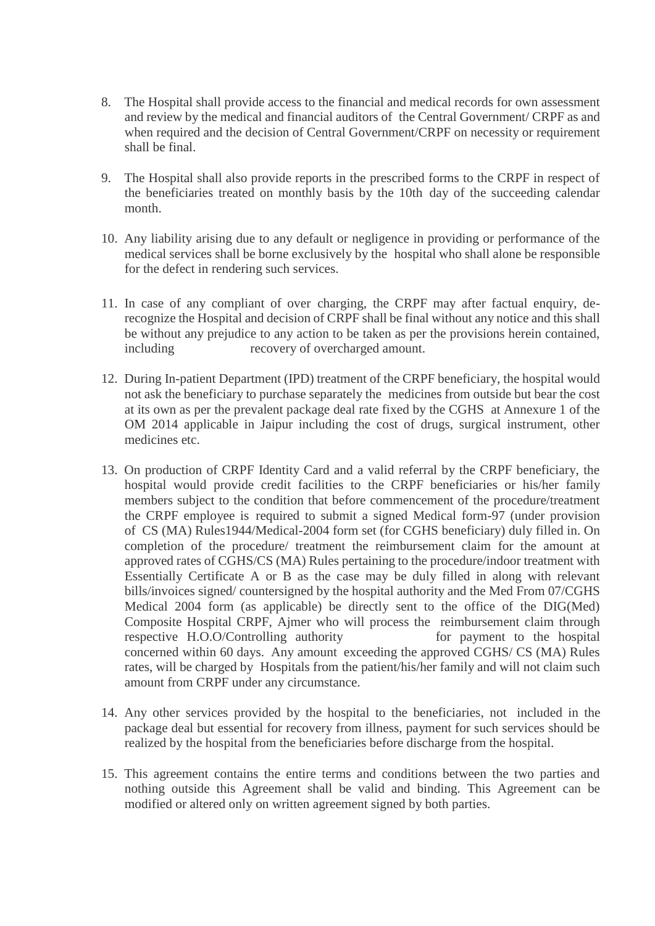- 8. The Hospital shall provide access to the financial and medical records for own assessment and review by the medical and financial auditors of the Central Government/ CRPF as and when required and the decision of Central Government/CRPF on necessity or requirement shall be final.
- 9. The Hospital shall also provide reports in the prescribed forms to the CRPF in respect of the beneficiaries treated on monthly basis by the 10th day of the succeeding calendar month.
- 10. Any liability arising due to any default or negligence in providing or performance of the medical services shall be borne exclusively by the hospital who shall alone be responsible for the defect in rendering such services.
- 11. In case of any compliant of over charging, the CRPF may after factual enquiry, derecognize the Hospital and decision of CRPF shall be final without any notice and this shall be without any prejudice to any action to be taken as per the provisions herein contained, including recovery of overcharged amount.
- 12. During In-patient Department (IPD) treatment of the CRPF beneficiary, the hospital would not ask the beneficiary to purchase separately the medicines from outside but bear the cost at its own as per the prevalent package deal rate fixed by the CGHS at Annexure 1 of the OM 2014 applicable in Jaipur including the cost of drugs, surgical instrument, other medicines etc.
- 13. On production of CRPF Identity Card and a valid referral by the CRPF beneficiary, the hospital would provide credit facilities to the CRPF beneficiaries or his/her family members subject to the condition that before commencement of the procedure/treatment the CRPF employee is required to submit a signed Medical form-97 (under provision of CS (MA) Rules1944/Medical-2004 form set (for CGHS beneficiary) duly filled in. On completion of the procedure/ treatment the reimbursement claim for the amount at approved rates of CGHS/CS (MA) Rules pertaining to the procedure/indoor treatment with Essentially Certificate A or B as the case may be duly filled in along with relevant bills/invoices signed/ countersigned by the hospital authority and the Med From 07/CGHS Medical 2004 form (as applicable) be directly sent to the office of the DIG(Med) Composite Hospital CRPF, Ajmer who will process the reimbursement claim through respective H.O.O/Controlling authority for payment to the hospital concerned within 60 days. Any amount exceeding the approved CGHS/ CS (MA) Rules rates, will be charged by Hospitals from the patient/his/her family and will not claim such amount from CRPF under any circumstance.
- 14. Any other services provided by the hospital to the beneficiaries, not included in the package deal but essential for recovery from illness, payment for such services should be realized by the hospital from the beneficiaries before discharge from the hospital.
- 15. This agreement contains the entire terms and conditions between the two parties and nothing outside this Agreement shall be valid and binding. This Agreement can be modified or altered only on written agreement signed by both parties.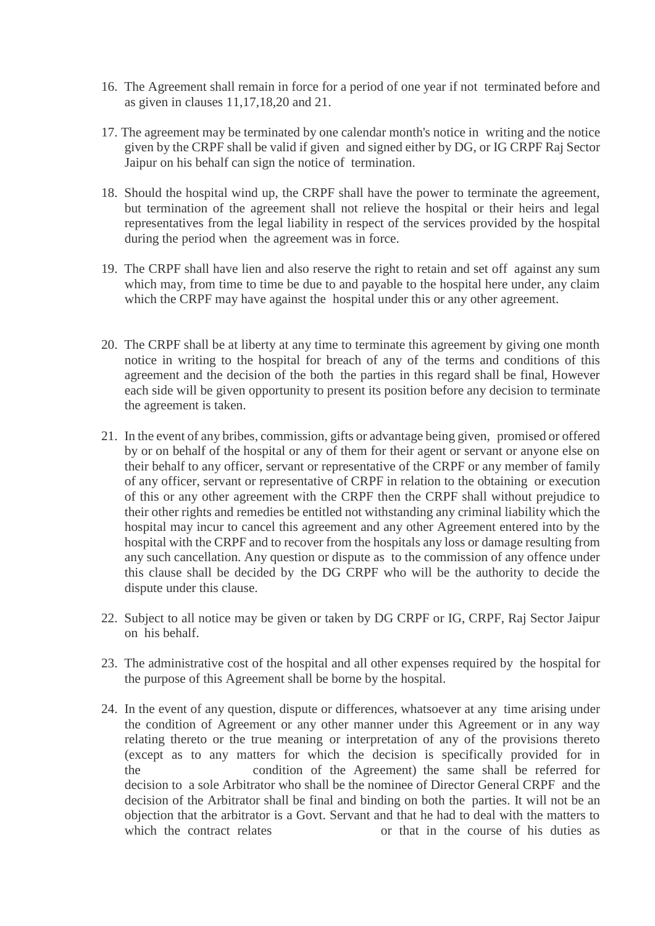- 16. The Agreement shall remain in force for a period of one year if not terminated before and as given in clauses 11,17,18,20 and 21.
- 17. The agreement may be terminated by one calendar month's notice in writing and the notice given by the CRPF shall be valid if given and signed either by DG, or IG CRPF Raj Sector Jaipur on his behalf can sign the notice of termination.
- 18. Should the hospital wind up, the CRPF shall have the power to terminate the agreement, but termination of the agreement shall not relieve the hospital or their heirs and legal representatives from the legal liability in respect of the services provided by the hospital during the period when the agreement was in force.
- 19. The CRPF shall have lien and also reserve the right to retain and set off against any sum which may, from time to time be due to and payable to the hospital here under, any claim which the CRPF may have against the hospital under this or any other agreement.
- 20. The CRPF shall be at liberty at any time to terminate this agreement by giving one month notice in writing to the hospital for breach of any of the terms and conditions of this agreement and the decision of the both the parties in this regard shall be final, However each side will be given opportunity to present its position before any decision to terminate the agreement is taken.
- 21. In the event of any bribes, commission, gifts or advantage being given, promised or offered by or on behalf of the hospital or any of them for their agent or servant or anyone else on their behalf to any officer, servant or representative of the CRPF or any member of family of any officer, servant or representative of CRPF in relation to the obtaining or execution of this or any other agreement with the CRPF then the CRPF shall without prejudice to their other rights and remedies be entitled not withstanding any criminal liability which the hospital may incur to cancel this agreement and any other Agreement entered into by the hospital with the CRPF and to recover from the hospitals any loss or damage resulting from any such cancellation. Any question or dispute as to the commission of any offence under this clause shall be decided by the DG CRPF who will be the authority to decide the dispute under this clause.
- 22. Subject to all notice may be given or taken by DG CRPF or IG, CRPF, Raj Sector Jaipur on his behalf.
- 23. The administrative cost of the hospital and all other expenses required by the hospital for the purpose of this Agreement shall be borne by the hospital.
- 24. In the event of any question, dispute or differences, whatsoever at any time arising under the condition of Agreement or any other manner under this Agreement or in any way relating thereto or the true meaning or interpretation of any of the provisions thereto (except as to any matters for which the decision is specifically provided for in the condition of the Agreement) the same shall be referred for decision to a sole Arbitrator who shall be the nominee of Director General CRPF and the decision of the Arbitrator shall be final and binding on both the parties. It will not be an objection that the arbitrator is a Govt. Servant and that he had to deal with the matters to which the contract relates or that in the course of his duties as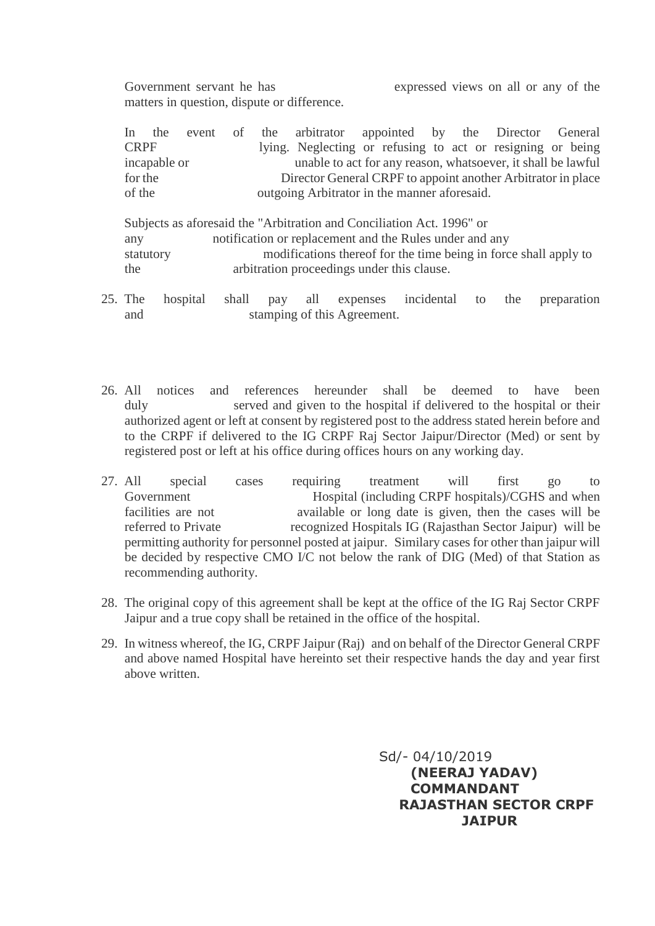Government servant he has expressed views on all or any of the matters in question, dispute or difference.

| $\ln$       | the          |                                                              |  | event of the arbitrator appointed by the Director General    |  |  |  |  |  |  |  |
|-------------|--------------|--------------------------------------------------------------|--|--------------------------------------------------------------|--|--|--|--|--|--|--|
| <b>CRPF</b> |              |                                                              |  | lying. Neglecting or refusing to act or resigning or being   |  |  |  |  |  |  |  |
|             | incapable or |                                                              |  | unable to act for any reason, whatsoever, it shall be lawful |  |  |  |  |  |  |  |
| for the     |              | Director General CRPF to appoint another Arbitrator in place |  |                                                              |  |  |  |  |  |  |  |
| of the      |              | outgoing Arbitrator in the manner aforesaid.                 |  |                                                              |  |  |  |  |  |  |  |

 Subjects as aforesaid the "Arbitration and Conciliation Act. 1996" or any notification or replacement and the Rules under and any statutory modifications thereof for the time being in force shall apply to the arbitration proceedings under this clause.

- 25. The hospital shall pay all expenses incidental to the preparation and stamping of this Agreement.
- 26. All notices and references hereunder shall be deemed to have been duly served and given to the hospital if delivered to the hospital or their authorized agent or left at consent by registered post to the address stated herein before and to the CRPF if delivered to the IG CRPF Raj Sector Jaipur/Director (Med) or sent by registered post or left at his office during offices hours on any working day.
- 27. All special cases requiring treatment will first go to Government Hospital (including CRPF hospitals)/CGHS and when facilities are not **available** or long date is given, then the cases will be referred to Private recognized Hospitals IG (Rajasthan Sector Jaipur) will be permitting authority for personnel posted at jaipur. Similary cases for other than jaipur will be decided by respective CMO I/C not below the rank of DIG (Med) of that Station as recommending authority.
- 28. The original copy of this agreement shall be kept at the office of the IG Raj Sector CRPF Jaipur and a true copy shall be retained in the office of the hospital.
- 29. In witness whereof, the IG, CRPF Jaipur (Raj) and on behalf of the Director General CRPF and above named Hospital have hereinto set their respective hands the day and year first above written.

 Sd/- 04/10/2019 **(NEERAJ YADAV) COMMANDANT RAJASTHAN SECTOR CRPF JAIPUR**